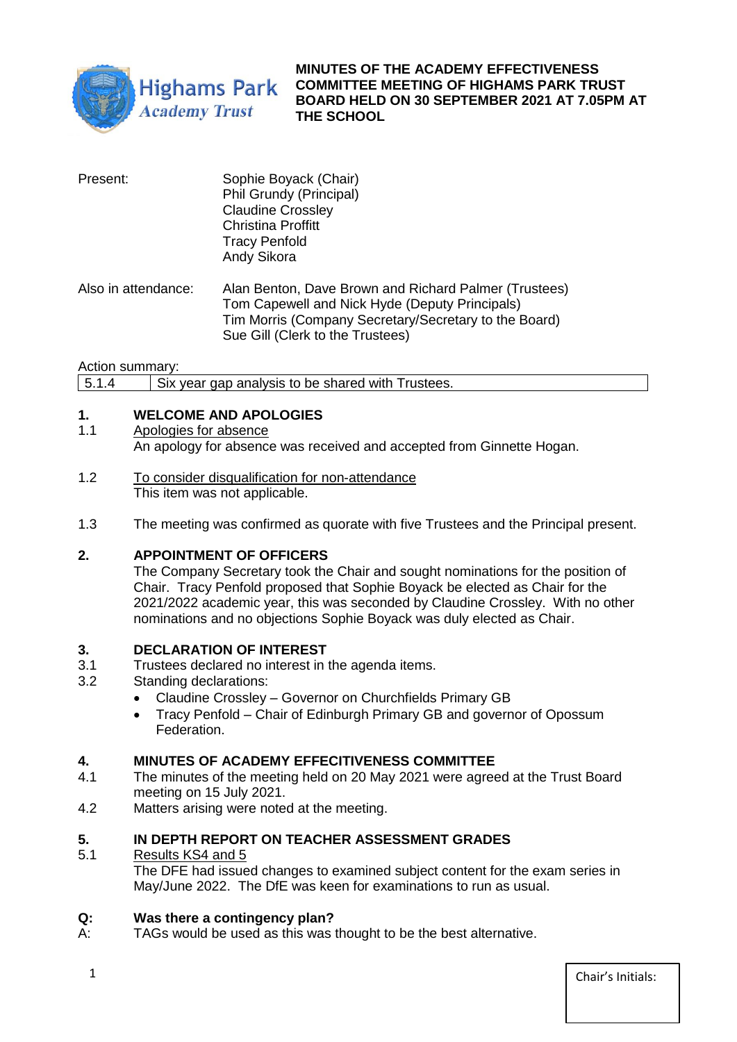

## **MINUTES OF THE ACADEMY EFFECTIVENESS COMMITTEE MEETING OF HIGHAMS PARK TRUST BOARD HELD ON 30 SEPTEMBER 2021 AT 7.05PM AT THE SCHOOL**

| Present:            | Sophie Boyack (Chair)<br>Phil Grundy (Principal)<br><b>Claudine Crossley</b><br><b>Christina Proffitt</b><br><b>Tracy Penfold</b><br>Andy Sikora                                                     |
|---------------------|------------------------------------------------------------------------------------------------------------------------------------------------------------------------------------------------------|
| Also in attendance: | Alan Benton, Dave Brown and Richard Palmer (Trustees)<br>Tom Capewell and Nick Hyde (Deputy Principals)<br>Tim Morris (Company Secretary/Secretary to the Board)<br>Sue Gill (Clerk to the Trustees) |

Action summary:

5.1.4 Six year gap analysis to be shared with Trustees.

# **1. WELCOME AND APOLOGIES**

1.1 Apologies for absence

An apology for absence was received and accepted from Ginnette Hogan.

- 1.2 To consider disqualification for non-attendance This item was not applicable.
- 1.3 The meeting was confirmed as quorate with five Trustees and the Principal present.

### **2. APPOINTMENT OF OFFICERS**

The Company Secretary took the Chair and sought nominations for the position of Chair. Tracy Penfold proposed that Sophie Boyack be elected as Chair for the 2021/2022 academic year, this was seconded by Claudine Crossley. With no other nominations and no objections Sophie Boyack was duly elected as Chair.

### **3. DECLARATION OF INTEREST**

- 3.1 Trustees declared no interest in the agenda items.<br>3.2 Standing declarations:
- Standing declarations:
	- Claudine Crossley Governor on Churchfields Primary GB
	- Tracy Penfold Chair of Edinburgh Primary GB and governor of Opossum Federation.

### **4. MINUTES OF ACADEMY EFFECITIVENESS COMMITTEE**

- 4.1 The minutes of the meeting held on 20 May 2021 were agreed at the Trust Board meeting on 15 July 2021.
- 4.2 Matters arising were noted at the meeting.

### **5. IN DEPTH REPORT ON TEACHER ASSESSMENT GRADES**

5.1 Results KS4 and 5

The DFE had issued changes to examined subject content for the exam series in May/June 2022. The DfE was keen for examinations to run as usual.

#### **Q: Was there a contingency plan?**

A: TAGs would be used as this was thought to be the best alternative.

1 Chair's Initials: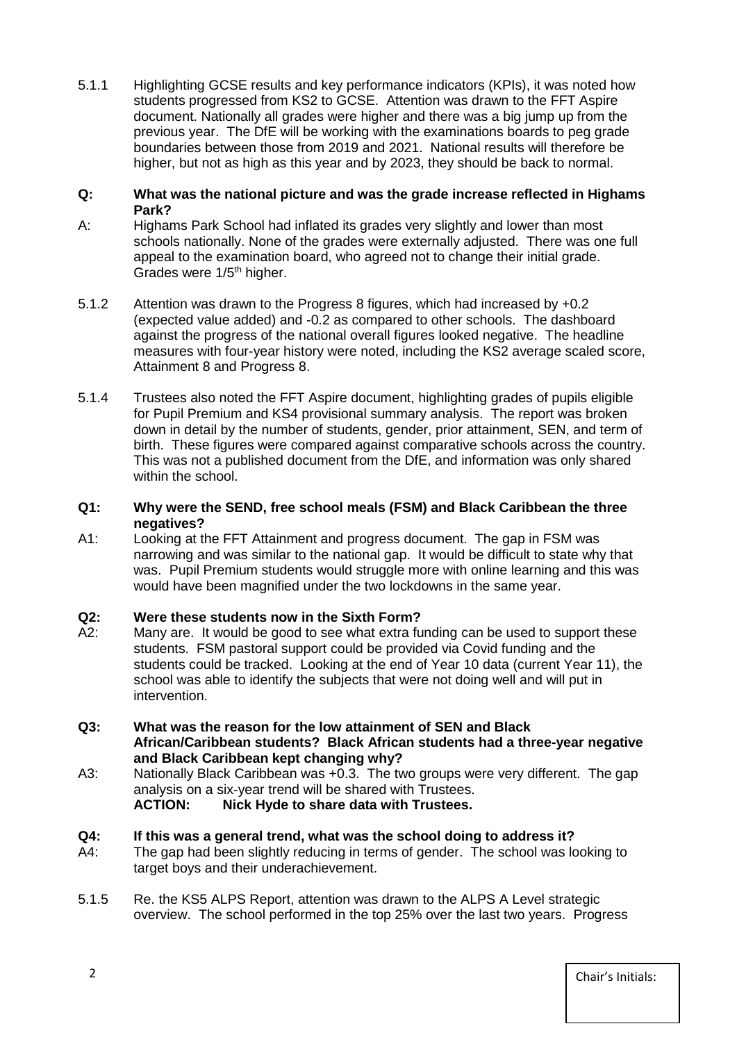5.1.1 Highlighting GCSE results and key performance indicators (KPIs), it was noted how students progressed from KS2 to GCSE. Attention was drawn to the FFT Aspire document. Nationally all grades were higher and there was a big jump up from the previous year. The DfE will be working with the examinations boards to peg grade boundaries between those from 2019 and 2021. National results will therefore be higher, but not as high as this year and by 2023, they should be back to normal.

#### **Q: What was the national picture and was the grade increase reflected in Highams Park?**

- A: Highams Park School had inflated its grades very slightly and lower than most schools nationally. None of the grades were externally adjusted. There was one full appeal to the examination board, who agreed not to change their initial grade. Grades were 1/5<sup>th</sup> higher.
- 5.1.2 Attention was drawn to the Progress 8 figures, which had increased by +0.2 (expected value added) and -0.2 as compared to other schools. The dashboard against the progress of the national overall figures looked negative. The headline measures with four-year history were noted, including the KS2 average scaled score, Attainment 8 and Progress 8.
- 5.1.4 Trustees also noted the FFT Aspire document, highlighting grades of pupils eligible for Pupil Premium and KS4 provisional summary analysis. The report was broken down in detail by the number of students, gender, prior attainment, SEN, and term of birth. These figures were compared against comparative schools across the country. This was not a published document from the DfE, and information was only shared within the school.

## **Q1: Why were the SEND, free school meals (FSM) and Black Caribbean the three negatives?**

A1: Looking at the FFT Attainment and progress document. The gap in FSM was narrowing and was similar to the national gap. It would be difficult to state why that was. Pupil Premium students would struggle more with online learning and this was would have been magnified under the two lockdowns in the same year.

# **Q2: Were these students now in the Sixth Form?**

- A2: Many are. It would be good to see what extra funding can be used to support these students. FSM pastoral support could be provided via Covid funding and the students could be tracked. Looking at the end of Year 10 data (current Year 11), the school was able to identify the subjects that were not doing well and will put in intervention.
- **Q3: What was the reason for the low attainment of SEN and Black African/Caribbean students? Black African students had a three-year negative and Black Caribbean kept changing why?**
- A3: Nationally Black Caribbean was +0.3. The two groups were very different. The gap analysis on a six-year trend will be shared with Trustees. **ACTION: Nick Hyde to share data with Trustees.**

## **Q4: If this was a general trend, what was the school doing to address it?**

- A4: The gap had been slightly reducing in terms of gender. The school was looking to target boys and their underachievement.
- 5.1.5 Re. the KS5 ALPS Report, attention was drawn to the ALPS A Level strategic overview. The school performed in the top 25% over the last two years. Progress

2 Chair's Initials: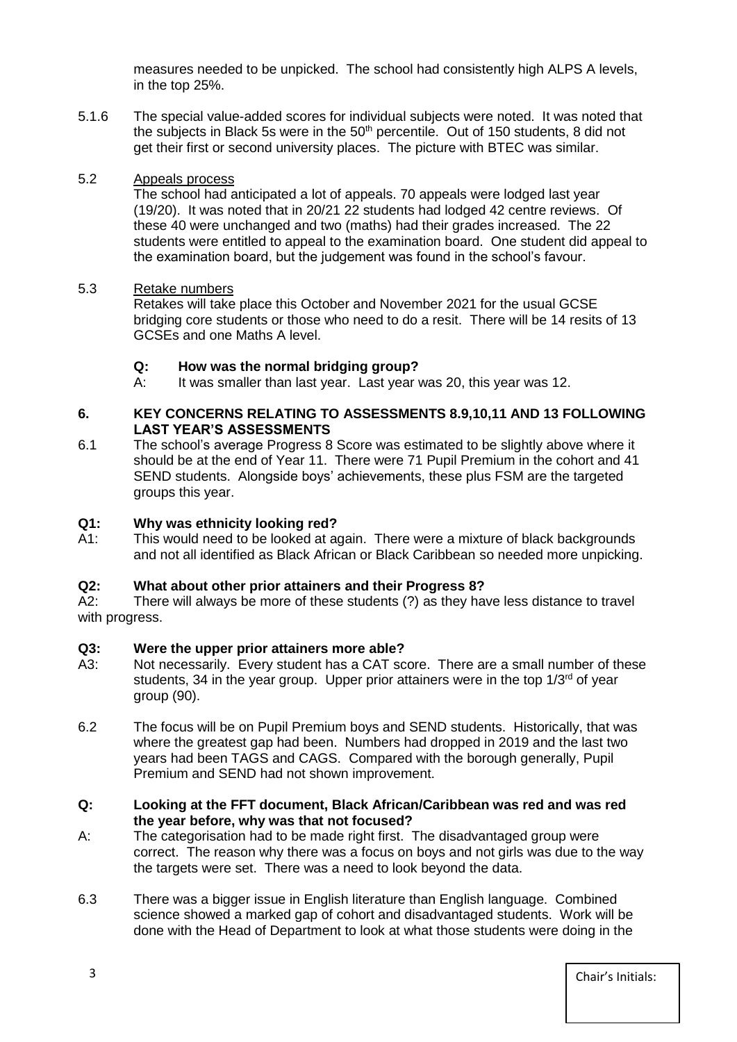measures needed to be unpicked. The school had consistently high ALPS A levels, in the top 25%.

5.1.6 The special value-added scores for individual subjects were noted. It was noted that the subjects in Black 5s were in the 50<sup>th</sup> percentile. Out of 150 students. 8 did not get their first or second university places. The picture with BTEC was similar.

#### 5.2 Appeals process

The school had anticipated a lot of appeals. 70 appeals were lodged last year (19/20). It was noted that in 20/21 22 students had lodged 42 centre reviews. Of these 40 were unchanged and two (maths) had their grades increased. The 22 students were entitled to appeal to the examination board. One student did appeal to the examination board, but the judgement was found in the school's favour.

#### 5.3 Retake numbers

Retakes will take place this October and November 2021 for the usual GCSE bridging core students or those who need to do a resit. There will be 14 resits of 13 GCSEs and one Maths A level.

### **Q: How was the normal bridging group?**

A: It was smaller than last year. Last year was 20, this year was 12.

#### **6. KEY CONCERNS RELATING TO ASSESSMENTS 8.9,10,11 AND 13 FOLLOWING LAST YEAR'S ASSESSMENTS**

6.1 The school's average Progress 8 Score was estimated to be slightly above where it should be at the end of Year 11. There were 71 Pupil Premium in the cohort and 41 SEND students. Alongside boys' achievements, these plus FSM are the targeted groups this year.

### **Q1: Why was ethnicity looking red?**

A1: This would need to be looked at again. There were a mixture of black backgrounds and not all identified as Black African or Black Caribbean so needed more unpicking.

### **Q2: What about other prior attainers and their Progress 8?**

A2: There will always be more of these students (?) as they have less distance to travel with progress.

### **Q3: Were the upper prior attainers more able?**

- A3: Not necessarily. Every student has a CAT score. There are a small number of these students, 34 in the year group. Upper prior attainers were in the top  $1/3<sup>rd</sup>$  of year group (90).
- 6.2 The focus will be on Pupil Premium boys and SEND students. Historically, that was where the greatest gap had been. Numbers had dropped in 2019 and the last two years had been TAGS and CAGS. Compared with the borough generally, Pupil Premium and SEND had not shown improvement.

#### **Q: Looking at the FFT document, Black African/Caribbean was red and was red the year before, why was that not focused?**

- A: The categorisation had to be made right first. The disadvantaged group were correct. The reason why there was a focus on boys and not girls was due to the way the targets were set. There was a need to look beyond the data.
- 6.3 There was a bigger issue in English literature than English language. Combined science showed a marked gap of cohort and disadvantaged students. Work will be done with the Head of Department to look at what those students were doing in the